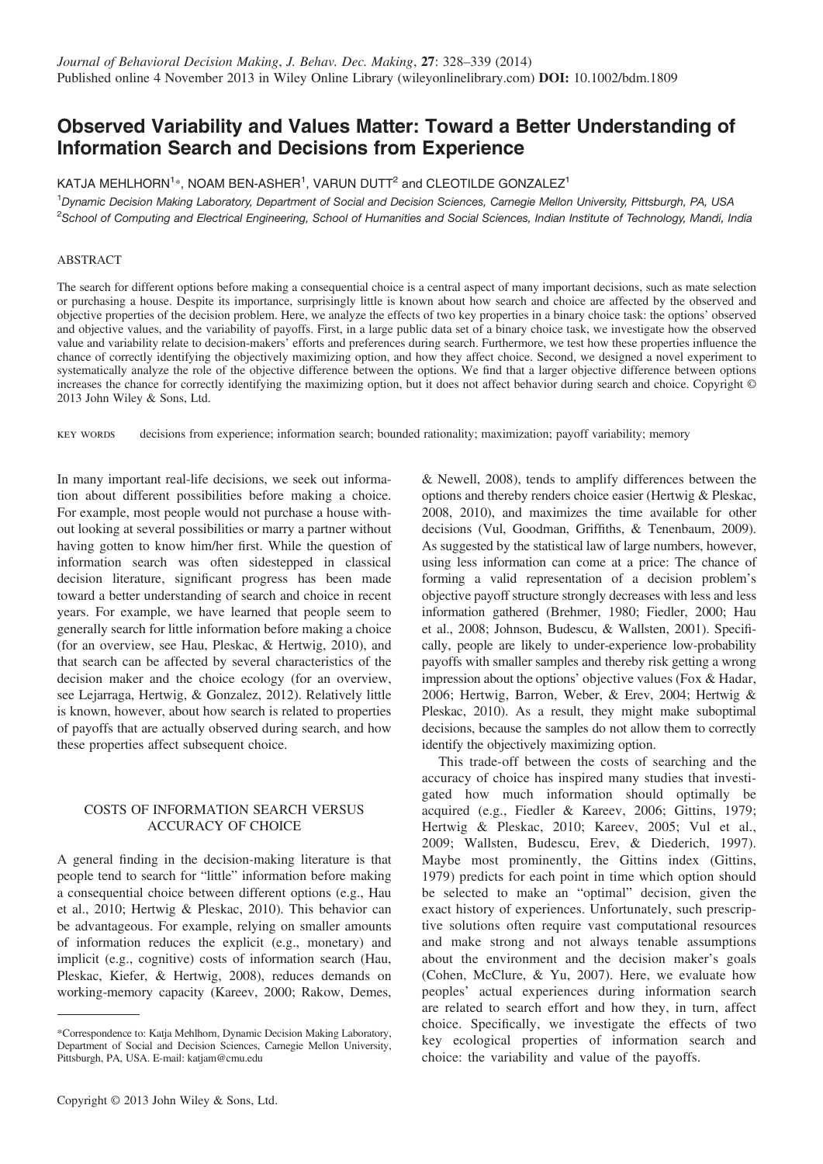# Observed Variability and Values Matter: Toward a Better Understanding of Information Search and Decisions from Experience

KATJA MEHLHORN<sup>1</sup>\*, NOAM BEN-ASHER<sup>1</sup>, VARUN DUTT<sup>2</sup> and CLEOTILDE GONZALEZ<sup>1</sup>

<sup>1</sup>Dynamic Decision Making Laboratory, Department of Social and Decision Sciences, Carnegie Mellon University, Pittsburgh, PA, USA <sup>2</sup>School of Computing and Electrical Engineering, School of Humanities and Social Sciences, Indian Institute of Technology, Mandi, India

#### ABSTRACT

The search for different options before making a consequential choice is a central aspect of many important decisions, such as mate selection or purchasing a house. Despite its importance, surprisingly little is known about how search and choice are affected by the observed and objective properties of the decision problem. Here, we analyze the effects of two key properties in a binary choice task: the options' observed and objective values, and the variability of payoffs. First, in a large public data set of a binary choice task, we investigate how the observed value and variability relate to decision-makers' efforts and preferences during search. Furthermore, we test how these properties influence the chance of correctly identifying the objectively maximizing option, and how they affect choice. Second, we designed a novel experiment to systematically analyze the role of the objective difference between the options. We find that a larger objective difference between options increases the chance for correctly identifying the maximizing option, but it does not affect behavior during search and choice. Copyright © 2013 John Wiley & Sons, Ltd.

key words decisions from experience; information search; bounded rationality; maximization; payoff variability; memory

In many important real-life decisions, we seek out information about different possibilities before making a choice. For example, most people would not purchase a house without looking at several possibilities or marry a partner without having gotten to know him/her first. While the question of information search was often sidestepped in classical decision literature, significant progress has been made toward a better understanding of search and choice in recent years. For example, we have learned that people seem to generally search for little information before making a choice (for an overview, see Hau, Pleskac, & Hertwig, 2010), and that search can be affected by several characteristics of the decision maker and the choice ecology (for an overview, see Lejarraga, Hertwig, & Gonzalez, 2012). Relatively little is known, however, about how search is related to properties of payoffs that are actually observed during search, and how these properties affect subsequent choice.

# COSTS OF INFORMATION SEARCH VERSUS ACCURACY OF CHOICE

A general finding in the decision-making literature is that people tend to search for "little" information before making a consequential choice between different options (e.g., Hau et al., 2010; Hertwig & Pleskac, 2010). This behavior can be advantageous. For example, relying on smaller amounts of information reduces the explicit (e.g., monetary) and implicit (e.g., cognitive) costs of information search (Hau, Pleskac, Kiefer, & Hertwig, 2008), reduces demands on working-memory capacity (Kareev, 2000; Rakow, Demes, & Newell, 2008), tends to amplify differences between the options and thereby renders choice easier (Hertwig & Pleskac, 2008, 2010), and maximizes the time available for other decisions (Vul, Goodman, Griffiths, & Tenenbaum, 2009). As suggested by the statistical law of large numbers, however, using less information can come at a price: The chance of forming a valid representation of a decision problem's objective payoff structure strongly decreases with less and less information gathered (Brehmer, 1980; Fiedler, 2000; Hau et al., 2008; Johnson, Budescu, & Wallsten, 2001). Specifically, people are likely to under-experience low-probability payoffs with smaller samples and thereby risk getting a wrong impression about the options' objective values (Fox & Hadar, 2006; Hertwig, Barron, Weber, & Erev, 2004; Hertwig & Pleskac, 2010). As a result, they might make suboptimal decisions, because the samples do not allow them to correctly identify the objectively maximizing option.

This trade-off between the costs of searching and the accuracy of choice has inspired many studies that investigated how much information should optimally be acquired (e.g., Fiedler & Kareev, 2006; Gittins, 1979; Hertwig & Pleskac, 2010; Kareev, 2005; Vul et al., 2009; Wallsten, Budescu, Erev, & Diederich, 1997). Maybe most prominently, the Gittins index (Gittins, 1979) predicts for each point in time which option should be selected to make an "optimal" decision, given the exact history of experiences. Unfortunately, such prescriptive solutions often require vast computational resources and make strong and not always tenable assumptions about the environment and the decision maker's goals (Cohen, McClure, & Yu, 2007). Here, we evaluate how peoples' actual experiences during information search are related to search effort and how they, in turn, affect choice. Specifically, we investigate the effects of two key ecological properties of information search and choice: the variability and value of the payoffs.

<sup>\*</sup>Correspondence to: Katja Mehlhorn, Dynamic Decision Making Laboratory, Department of Social and Decision Sciences, Carnegie Mellon University, Pittsburgh, PA, USA. E-mail: katjam@cmu.edu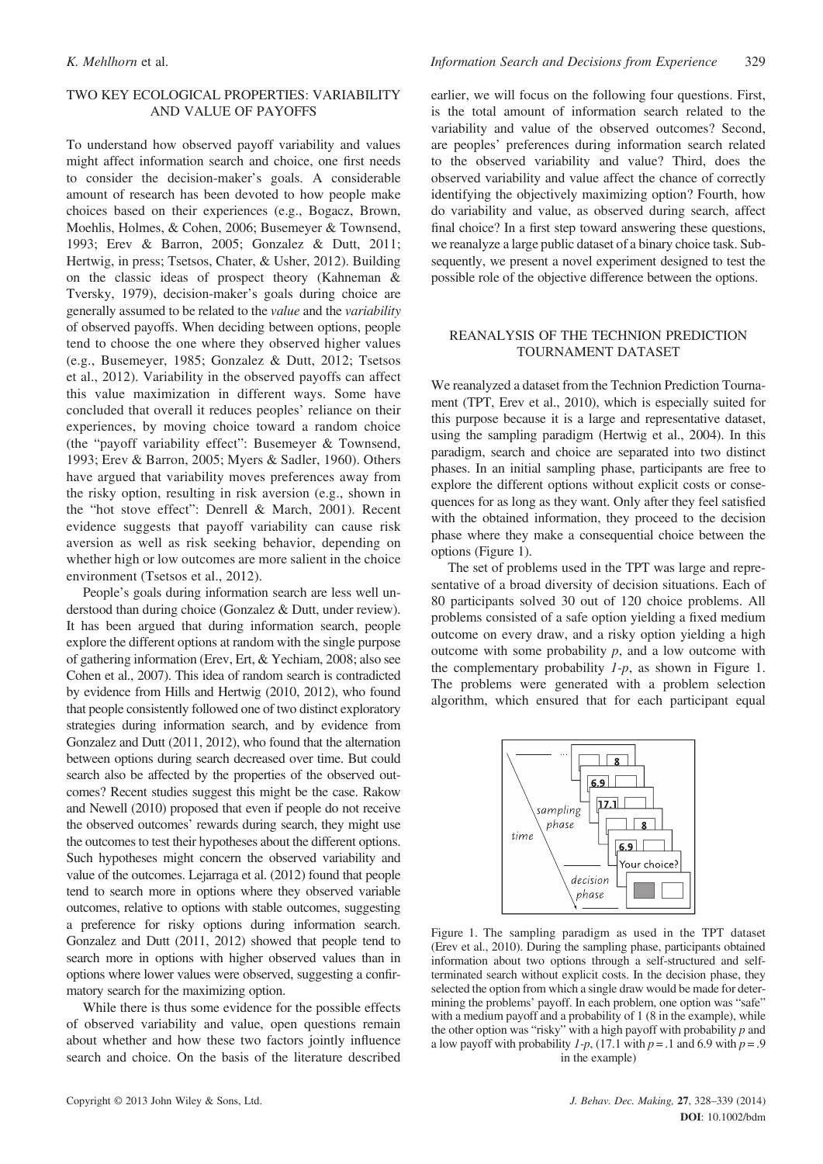# TWO KEY ECOLOGICAL PROPERTIES: VARIABILITY AND VALUE OF PAYOFFS

To understand how observed payoff variability and values might affect information search and choice, one first needs to consider the decision-maker's goals. A considerable amount of research has been devoted to how people make choices based on their experiences (e.g., Bogacz, Brown, Moehlis, Holmes, & Cohen, 2006; Busemeyer & Townsend, 1993; Erev & Barron, 2005; Gonzalez & Dutt, 2011; Hertwig, in press; Tsetsos, Chater, & Usher, 2012). Building on the classic ideas of prospect theory (Kahneman & Tversky, 1979), decision-maker's goals during choice are generally assumed to be related to the value and the variability of observed payoffs. When deciding between options, people tend to choose the one where they observed higher values (e.g., Busemeyer, 1985; Gonzalez & Dutt, 2012; Tsetsos et al., 2012). Variability in the observed payoffs can affect this value maximization in different ways. Some have concluded that overall it reduces peoples' reliance on their experiences, by moving choice toward a random choice (the "payoff variability effect": Busemeyer & Townsend, 1993; Erev & Barron, 2005; Myers & Sadler, 1960). Others have argued that variability moves preferences away from the risky option, resulting in risk aversion (e.g., shown in the "hot stove effect": Denrell & March, 2001). Recent evidence suggests that payoff variability can cause risk aversion as well as risk seeking behavior, depending on whether high or low outcomes are more salient in the choice environment (Tsetsos et al., 2012).

People's goals during information search are less well understood than during choice (Gonzalez & Dutt, under review). It has been argued that during information search, people explore the different options at random with the single purpose of gathering information (Erev, Ert, & Yechiam, 2008; also see Cohen et al., 2007). This idea of random search is contradicted by evidence from Hills and Hertwig (2010, 2012), who found that people consistently followed one of two distinct exploratory strategies during information search, and by evidence from Gonzalez and Dutt (2011, 2012), who found that the alternation between options during search decreased over time. But could search also be affected by the properties of the observed outcomes? Recent studies suggest this might be the case. Rakow and Newell (2010) proposed that even if people do not receive the observed outcomes' rewards during search, they might use the outcomes to test their hypotheses about the different options. Such hypotheses might concern the observed variability and value of the outcomes. Lejarraga et al. (2012) found that people tend to search more in options where they observed variable outcomes, relative to options with stable outcomes, suggesting a preference for risky options during information search. Gonzalez and Dutt (2011, 2012) showed that people tend to search more in options with higher observed values than in options where lower values were observed, suggesting a confirmatory search for the maximizing option.

While there is thus some evidence for the possible effects of observed variability and value, open questions remain about whether and how these two factors jointly influence search and choice. On the basis of the literature described earlier, we will focus on the following four questions. First, is the total amount of information search related to the variability and value of the observed outcomes? Second, are peoples' preferences during information search related to the observed variability and value? Third, does the observed variability and value affect the chance of correctly identifying the objectively maximizing option? Fourth, how do variability and value, as observed during search, affect final choice? In a first step toward answering these questions, we reanalyze a large public dataset of a binary choice task. Subsequently, we present a novel experiment designed to test the possible role of the objective difference between the options.

# REANALYSIS OF THE TECHNION PREDICTION TOURNAMENT DATASET

We reanalyzed a dataset from the Technion Prediction Tournament (TPT, Erev et al., 2010), which is especially suited for this purpose because it is a large and representative dataset, using the sampling paradigm (Hertwig et al., 2004). In this paradigm, search and choice are separated into two distinct phases. In an initial sampling phase, participants are free to explore the different options without explicit costs or consequences for as long as they want. Only after they feel satisfied with the obtained information, they proceed to the decision phase where they make a consequential choice between the options (Figure 1).

The set of problems used in the TPT was large and representative of a broad diversity of decision situations. Each of 80 participants solved 30 out of 120 choice problems. All problems consisted of a safe option yielding a fixed medium outcome on every draw, and a risky option yielding a high outcome with some probability  $p$ , and a low outcome with the complementary probability  $1-p$ , as shown in Figure 1. The problems were generated with a problem selection algorithm, which ensured that for each participant equal



Figure 1. The sampling paradigm as used in the TPT dataset (Erev et al., 2010). During the sampling phase, participants obtained information about two options through a self-structured and selfterminated search without explicit costs. In the decision phase, they selected the option from which a single draw would be made for determining the problems' payoff. In each problem, one option was "safe" with a medium payoff and a probability of 1 (8 in the example), while the other option was "risky" with a high payoff with probability  $p$  and a low payoff with probability  $1-p$ , (17.1 with  $p = 0.1$  and 6.9 with  $p = 0$ in the example)

DOI: 10.1002/bdm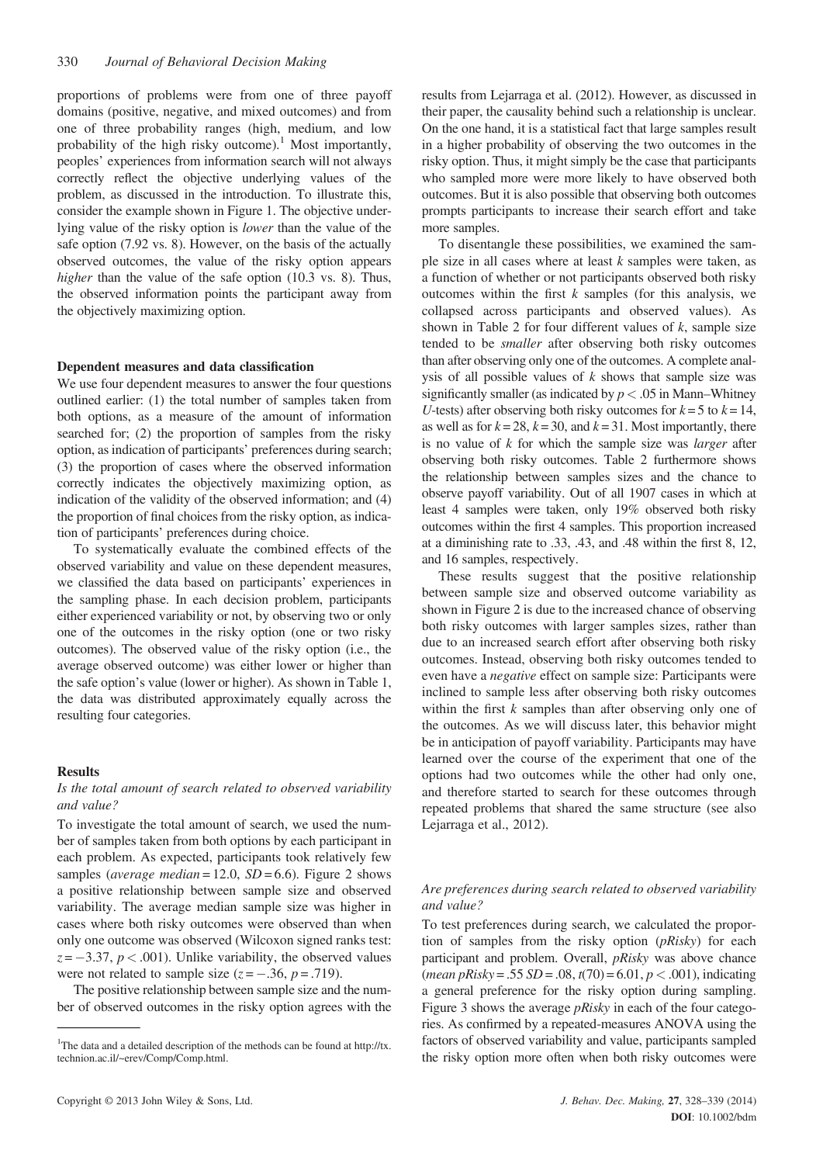proportions of problems were from one of three payoff domains (positive, negative, and mixed outcomes) and from one of three probability ranges (high, medium, and low probability of the high risky outcome).<sup>1</sup> Most importantly, peoples' experiences from information search will not always correctly reflect the objective underlying values of the problem, as discussed in the introduction. To illustrate this, consider the example shown in Figure 1. The objective underlying value of the risky option is lower than the value of the safe option (7.92 vs. 8). However, on the basis of the actually observed outcomes, the value of the risky option appears higher than the value of the safe option (10.3 vs. 8). Thus, the observed information points the participant away from the objectively maximizing option.

#### Dependent measures and data classification

We use four dependent measures to answer the four questions outlined earlier: (1) the total number of samples taken from both options, as a measure of the amount of information searched for; (2) the proportion of samples from the risky option, as indication of participants' preferences during search; (3) the proportion of cases where the observed information correctly indicates the objectively maximizing option, as indication of the validity of the observed information; and (4) the proportion of final choices from the risky option, as indication of participants' preferences during choice.

To systematically evaluate the combined effects of the observed variability and value on these dependent measures, we classified the data based on participants' experiences in the sampling phase. In each decision problem, participants either experienced variability or not, by observing two or only one of the outcomes in the risky option (one or two risky outcomes). The observed value of the risky option (i.e., the average observed outcome) was either lower or higher than the safe option's value (lower or higher). As shown in Table 1, the data was distributed approximately equally across the resulting four categories.

#### **Results**

# Is the total amount of search related to observed variability and value?

To investigate the total amount of search, we used the number of samples taken from both options by each participant in each problem. As expected, participants took relatively few samples (average median = 12.0,  $SD = 6.6$ ). Figure 2 shows a positive relationship between sample size and observed variability. The average median sample size was higher in cases where both risky outcomes were observed than when only one outcome was observed (Wilcoxon signed ranks test:  $z = -3.37$ ,  $p < .001$ ). Unlike variability, the observed values were not related to sample size  $(z = -.36, p = .719)$ .

The positive relationship between sample size and the number of observed outcomes in the risky option agrees with the results from Lejarraga et al. (2012). However, as discussed in their paper, the causality behind such a relationship is unclear. On the one hand, it is a statistical fact that large samples result in a higher probability of observing the two outcomes in the risky option. Thus, it might simply be the case that participants who sampled more were more likely to have observed both outcomes. But it is also possible that observing both outcomes prompts participants to increase their search effort and take more samples.

To disentangle these possibilities, we examined the sample size in all cases where at least  $k$  samples were taken, as a function of whether or not participants observed both risky outcomes within the first  $k$  samples (for this analysis, we collapsed across participants and observed values). As shown in Table 2 for four different values of  $k$ , sample size tended to be smaller after observing both risky outcomes than after observing only one of the outcomes. A complete analysis of all possible values of  $k$  shows that sample size was significantly smaller (as indicated by  $p < .05$  in Mann–Whitney U-tests) after observing both risky outcomes for  $k = 5$  to  $k = 14$ , as well as for  $k = 28$ ,  $k = 30$ , and  $k = 31$ . Most importantly, there is no value of  $k$  for which the sample size was *larger* after observing both risky outcomes. Table 2 furthermore shows the relationship between samples sizes and the chance to observe payoff variability. Out of all 1907 cases in which at least 4 samples were taken, only 19% observed both risky outcomes within the first 4 samples. This proportion increased at a diminishing rate to .33, .43, and .48 within the first 8, 12, and 16 samples, respectively.

These results suggest that the positive relationship between sample size and observed outcome variability as shown in Figure 2 is due to the increased chance of observing both risky outcomes with larger samples sizes, rather than due to an increased search effort after observing both risky outcomes. Instead, observing both risky outcomes tended to even have a negative effect on sample size: Participants were inclined to sample less after observing both risky outcomes within the first  $k$  samples than after observing only one of the outcomes. As we will discuss later, this behavior might be in anticipation of payoff variability. Participants may have learned over the course of the experiment that one of the options had two outcomes while the other had only one, and therefore started to search for these outcomes through repeated problems that shared the same structure (see also Lejarraga et al., 2012).

# Are preferences during search related to observed variability and value?

To test preferences during search, we calculated the proportion of samples from the risky option (pRisky) for each participant and problem. Overall, pRisky was above chance (*mean pRisky* = .55  $SD = .08$ ,  $t(70) = 6.01$ ,  $p < .001$ ), indicating a general preference for the risky option during sampling. Figure 3 shows the average  $pRisk$  in each of the four categories. As confirmed by a repeated-measures ANOVA using the factors of observed variability and value, participants sampled the risky option more often when both risky outcomes were

<sup>&</sup>lt;sup>1</sup>The data and a detailed description of the methods can be found at [http://tx.](http://tx.technion.ac.il/~erev/Comp/Comp.html) [technion.ac.il/~erev/Comp/Comp.html](http://tx.technion.ac.il/~erev/Comp/Comp.html).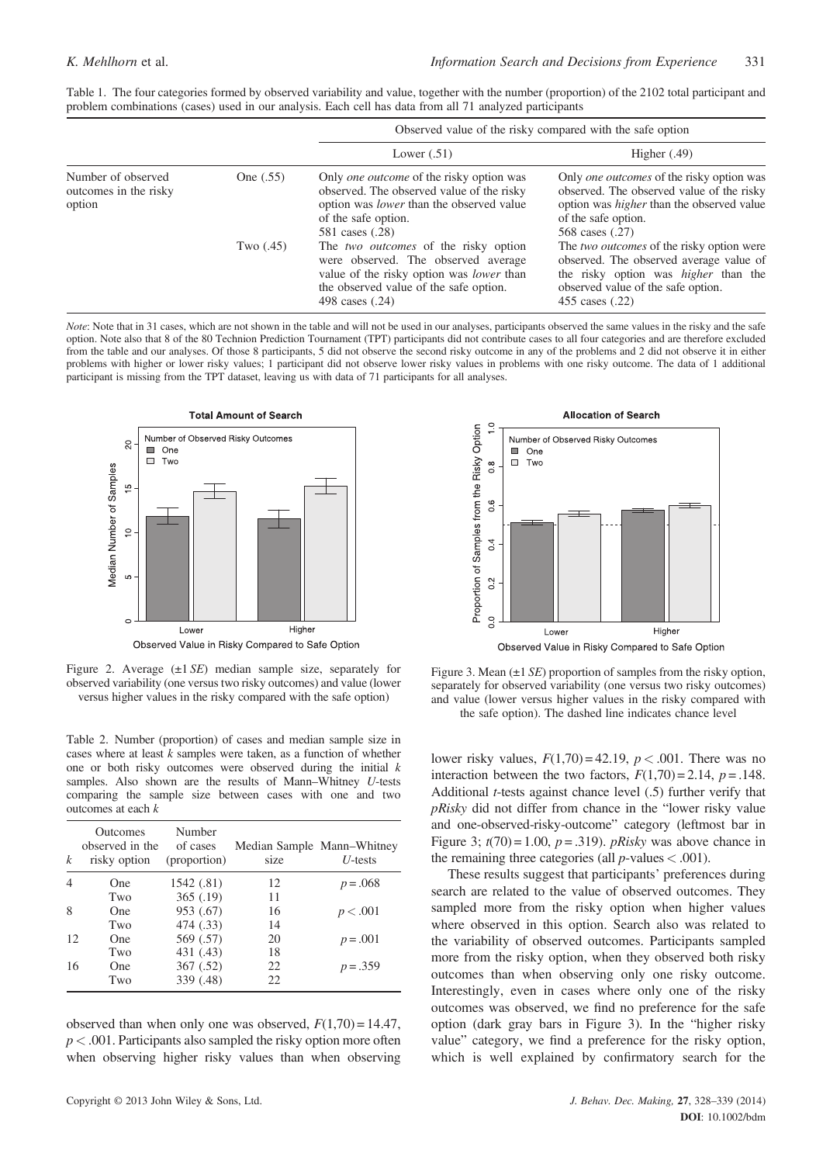|                                                                                                         |  |  |  |  | Table 1. The four categories formed by observed variability and value, together with the number (proportion) of the 2102 total participant and |
|---------------------------------------------------------------------------------------------------------|--|--|--|--|------------------------------------------------------------------------------------------------------------------------------------------------|
| problem combinations (cases) used in our analysis. Each cell has data from all 71 analyzed participants |  |  |  |  |                                                                                                                                                |

|                                                       |                          | Observed value of the risky compared with the safe option                                                                                                                                                                                                                |                                                                                                                                                                                                                                                                                            |  |
|-------------------------------------------------------|--------------------------|--------------------------------------------------------------------------------------------------------------------------------------------------------------------------------------------------------------------------------------------------------------------------|--------------------------------------------------------------------------------------------------------------------------------------------------------------------------------------------------------------------------------------------------------------------------------------------|--|
|                                                       |                          | Lower $(.51)$                                                                                                                                                                                                                                                            | Higher $(.49)$                                                                                                                                                                                                                                                                             |  |
| Number of observed<br>outcomes in the risky<br>option | One (.55)<br>Two $(.45)$ | Only <i>one outcome</i> of the risky option was<br>observed. The observed value of the risky<br>option was <i>lower</i> than the observed value<br>of the safe option.<br>581 cases (.28)<br>The two outcomes of the risky option<br>were observed. The observed average | Only <i>one outcomes</i> of the risky option was<br>observed. The observed value of the risky<br>option was <i>higher</i> than the observed value<br>of the safe option.<br>568 cases (.27)<br>The <i>two outcomes</i> of the risky option were<br>observed. The observed average value of |  |
|                                                       |                          | value of the risky option was <i>lower</i> than<br>the observed value of the safe option.<br>498 cases (.24)                                                                                                                                                             | the risky option was <i>higher</i> than the<br>observed value of the safe option.<br>455 cases (.22)                                                                                                                                                                                       |  |

Note: Note that in 31 cases, which are not shown in the table and will not be used in our analyses, participants observed the same values in the risky and the safe option. Note also that 8 of the 80 Technion Prediction Tournament (TPT) participants did not contribute cases to all four categories and are therefore excluded from the table and our analyses. Of those 8 participants, 5 did not observe the second risky outcome in any of the problems and 2 did not observe it in either problems with higher or lower risky values; 1 participant did not observe lower risky values in problems with one risky outcome. The data of 1 additional participant is missing from the TPT dataset, leaving us with data of 71 participants for all analyses.



Figure 2. Average  $(\pm 1 \, \text{SE})$  median sample size, separately for observed variability (one versus two risky outcomes) and value (lower versus higher values in the risky compared with the safe option)

Table 2. Number (proportion) of cases and median sample size in cases where at least  $k$  samples were taken, as a function of whether one or both risky outcomes were observed during the initial  $k$ samples. Also shown are the results of Mann–Whitney U-tests comparing the sample size between cases with one and two outcomes at each k

| k              | <b>Outcomes</b><br>observed in the<br>risky option | Number<br>of cases<br>(proportion) | size | Median Sample Mann-Whitney<br>$U$ -tests |
|----------------|----------------------------------------------------|------------------------------------|------|------------------------------------------|
| $\overline{4}$ | One                                                | 1542 (.81)                         | 12   | $p = .068$                               |
|                | Two                                                | 365(.19)                           | 11   |                                          |
| 8              | One                                                | 953 (.67)                          | 16   | p < .001                                 |
|                | Two                                                | 474 (.33)                          | 14   |                                          |
| 12             | <b>One</b>                                         | 569 (.57)                          | 20   | $p = .001$                               |
|                | Two                                                | 431 (.43)                          | 18   |                                          |
| 16             | One                                                | 367(.52)                           | 22   | $p = .359$                               |
|                | Two                                                | 339 (.48)                          | 22   |                                          |

observed than when only one was observed,  $F(1,70) = 14.47$ ,  $p < .001$ . Participants also sampled the risky option more often when observing higher risky values than when observing



Figure 3. Mean  $(\pm 1 S E)$  proportion of samples from the risky option, separately for observed variability (one versus two risky outcomes) and value (lower versus higher values in the risky compared with the safe option). The dashed line indicates chance level

lower risky values,  $F(1,70) = 42.19$ ,  $p < .001$ . There was no interaction between the two factors,  $F(1,70) = 2.14$ ,  $p = .148$ . Additional  $t$ -tests against chance level  $(.5)$  further verify that pRisky did not differ from chance in the "lower risky value and one-observed-risky-outcome" category (leftmost bar in Figure 3;  $t(70) = 1.00$ ,  $p = .319$ ). *pRisky* was above chance in the remaining three categories (all  $p$ -values  $\lt$  .001).

These results suggest that participants' preferences during search are related to the value of observed outcomes. They sampled more from the risky option when higher values where observed in this option. Search also was related to the variability of observed outcomes. Participants sampled more from the risky option, when they observed both risky outcomes than when observing only one risky outcome. Interestingly, even in cases where only one of the risky outcomes was observed, we find no preference for the safe option (dark gray bars in Figure 3). In the "higher risky value" category, we find a preference for the risky option, which is well explained by confirmatory search for the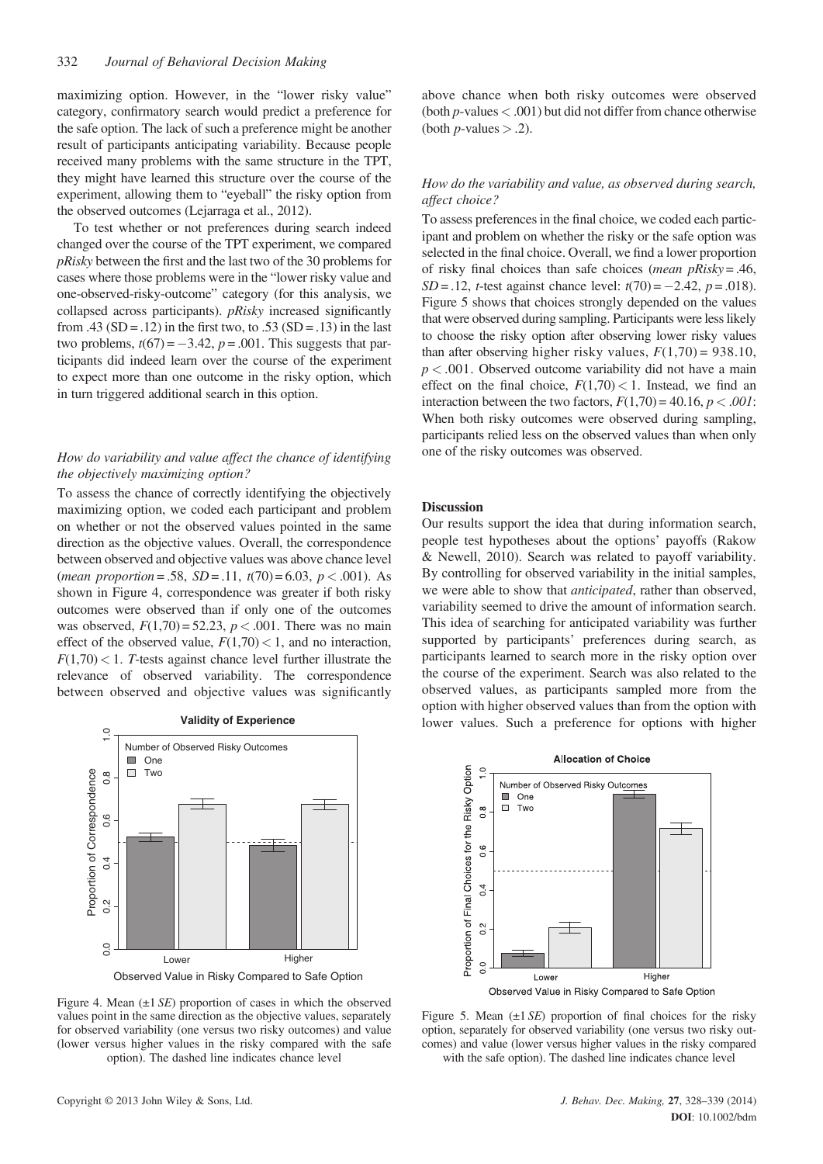maximizing option. However, in the "lower risky value" category, confirmatory search would predict a preference for the safe option. The lack of such a preference might be another result of participants anticipating variability. Because people received many problems with the same structure in the TPT, they might have learned this structure over the course of the experiment, allowing them to "eyeball" the risky option from the observed outcomes (Lejarraga et al., 2012).

To test whether or not preferences during search indeed changed over the course of the TPT experiment, we compared pRisky between the first and the last two of the 30 problems for cases where those problems were in the "lower risky value and one-observed-risky-outcome" category (for this analysis, we collapsed across participants).  $pRisky$  increased significantly from .43 ( $SD = .12$ ) in the first two, to .53 ( $SD = .13$ ) in the last two problems,  $t(67) = -3.42$ ,  $p = .001$ . This suggests that participants did indeed learn over the course of the experiment to expect more than one outcome in the risky option, which in turn triggered additional search in this option.

# How do variability and value affect the chance of identifying the objectively maximizing option?

To assess the chance of correctly identifying the objectively maximizing option, we coded each participant and problem on whether or not the observed values pointed in the same direction as the objective values. Overall, the correspondence between observed and objective values was above chance level (mean proportion = .58,  $SD = .11$ ,  $t(70) = 6.03$ ,  $p < .001$ ). As shown in Figure 4, correspondence was greater if both risky outcomes were observed than if only one of the outcomes was observed,  $F(1,70) = 52.23$ ,  $p < .001$ . There was no main effect of the observed value,  $F(1,70) < 1$ , and no interaction,  $F(1,70)$  < 1. T-tests against chance level further illustrate the relevance of observed variability. The correspondence between observed and objective values was significantly



Figure 4. Mean  $(\pm 1 \, \text{SE})$  proportion of cases in which the observed values point in the same direction as the objective values, separately for observed variability (one versus two risky outcomes) and value (lower versus higher values in the risky compared with the safe option). The dashed line indicates chance level

above chance when both risky outcomes were observed (both  $p$ -values  $< .001$ ) but did not differ from chance otherwise (both  $p$ -values  $> .2$ ).

# How do the variability and value, as observed during search, affect choice?

To assess preferences in the final choice, we coded each participant and problem on whether the risky or the safe option was selected in the final choice. Overall, we find a lower proportion of risky final choices than safe choices (*mean pRisky* = .46,  $SD = .12$ , *t*-test against chance level:  $t(70) = -2.42$ ,  $p = .018$ ). Figure 5 shows that choices strongly depended on the values that were observed during sampling. Participants were less likely to choose the risky option after observing lower risky values than after observing higher risky values,  $F(1,70) = 938.10$ ,  $p < .001$ . Observed outcome variability did not have a main effect on the final choice,  $F(1,70) < 1$ . Instead, we find an interaction between the two factors,  $F(1,70) = 40.16$ ,  $p < .001$ : When both risky outcomes were observed during sampling, participants relied less on the observed values than when only one of the risky outcomes was observed.

#### **Discussion**

Our results support the idea that during information search, people test hypotheses about the options' payoffs (Rakow & Newell, 2010). Search was related to payoff variability. By controlling for observed variability in the initial samples, we were able to show that anticipated, rather than observed, variability seemed to drive the amount of information search. This idea of searching for anticipated variability was further supported by participants' preferences during search, as participants learned to search more in the risky option over the course of the experiment. Search was also related to the observed values, as participants sampled more from the option with higher observed values than from the option with **Validity of Experience** lower values. Such a preference for options with higher



Figure 5. Mean  $(\pm 1 S E)$  proportion of final choices for the risky option, separately for observed variability (one versus two risky outcomes) and value (lower versus higher values in the risky compared with the safe option). The dashed line indicates chance level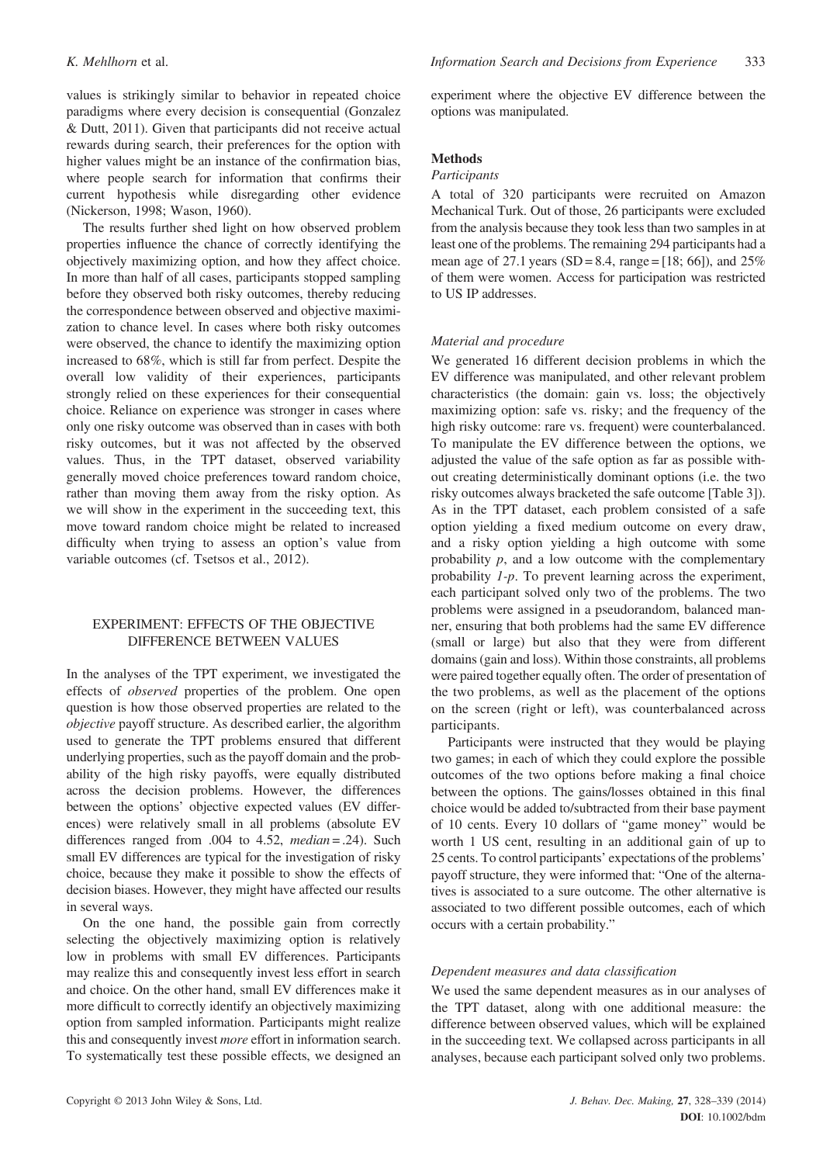values is strikingly similar to behavior in repeated choice paradigms where every decision is consequential (Gonzalez & Dutt, 2011). Given that participants did not receive actual rewards during search, their preferences for the option with higher values might be an instance of the confirmation bias, where people search for information that confirms their current hypothesis while disregarding other evidence (Nickerson, 1998; Wason, 1960).

The results further shed light on how observed problem properties influence the chance of correctly identifying the objectively maximizing option, and how they affect choice. In more than half of all cases, participants stopped sampling before they observed both risky outcomes, thereby reducing the correspondence between observed and objective maximization to chance level. In cases where both risky outcomes were observed, the chance to identify the maximizing option increased to 68%, which is still far from perfect. Despite the overall low validity of their experiences, participants strongly relied on these experiences for their consequential choice. Reliance on experience was stronger in cases where only one risky outcome was observed than in cases with both risky outcomes, but it was not affected by the observed values. Thus, in the TPT dataset, observed variability generally moved choice preferences toward random choice, rather than moving them away from the risky option. As we will show in the experiment in the succeeding text, this move toward random choice might be related to increased difficulty when trying to assess an option's value from variable outcomes (cf. Tsetsos et al., 2012).

#### EXPERIMENT: EFFECTS OF THE OBJECTIVE DIFFERENCE BETWEEN VALUES

In the analyses of the TPT experiment, we investigated the effects of observed properties of the problem. One open question is how those observed properties are related to the objective payoff structure. As described earlier, the algorithm used to generate the TPT problems ensured that different underlying properties, such as the payoff domain and the probability of the high risky payoffs, were equally distributed across the decision problems. However, the differences between the options' objective expected values (EV differences) were relatively small in all problems (absolute EV differences ranged from .004 to 4.52, median = .24). Such small EV differences are typical for the investigation of risky choice, because they make it possible to show the effects of decision biases. However, they might have affected our results in several ways.

On the one hand, the possible gain from correctly selecting the objectively maximizing option is relatively low in problems with small EV differences. Participants may realize this and consequently invest less effort in search and choice. On the other hand, small EV differences make it more difficult to correctly identify an objectively maximizing option from sampled information. Participants might realize this and consequently invest more effort in information search. To systematically test these possible effects, we designed an experiment where the objective EV difference between the options was manipulated.

# Methods

#### Participants

A total of 320 participants were recruited on Amazon Mechanical Turk. Out of those, 26 participants were excluded from the analysis because they took less than two samples in at least one of the problems. The remaining 294 participants had a mean age of 27.1 years (SD = 8.4, range = [18; 66]), and  $25\%$ of them were women. Access for participation was restricted to US IP addresses.

#### Material and procedure

We generated 16 different decision problems in which the EV difference was manipulated, and other relevant problem characteristics (the domain: gain vs. loss; the objectively maximizing option: safe vs. risky; and the frequency of the high risky outcome: rare vs. frequent) were counterbalanced. To manipulate the EV difference between the options, we adjusted the value of the safe option as far as possible without creating deterministically dominant options (i.e. the two risky outcomes always bracketed the safe outcome [Table 3]). As in the TPT dataset, each problem consisted of a safe option yielding a fixed medium outcome on every draw, and a risky option yielding a high outcome with some probability  $p$ , and a low outcome with the complementary probability 1-p. To prevent learning across the experiment, each participant solved only two of the problems. The two problems were assigned in a pseudorandom, balanced manner, ensuring that both problems had the same EV difference (small or large) but also that they were from different domains (gain and loss). Within those constraints, all problems were paired together equally often. The order of presentation of the two problems, as well as the placement of the options on the screen (right or left), was counterbalanced across participants.

Participants were instructed that they would be playing two games; in each of which they could explore the possible outcomes of the two options before making a final choice between the options. The gains/losses obtained in this final choice would be added to/subtracted from their base payment of 10 cents. Every 10 dollars of "game money" would be worth 1 US cent, resulting in an additional gain of up to 25 cents. To control participants' expectations of the problems' payoff structure, they were informed that: "One of the alternatives is associated to a sure outcome. The other alternative is associated to two different possible outcomes, each of which occurs with a certain probability."

#### Dependent measures and data classification

We used the same dependent measures as in our analyses of the TPT dataset, along with one additional measure: the difference between observed values, which will be explained in the succeeding text. We collapsed across participants in all analyses, because each participant solved only two problems.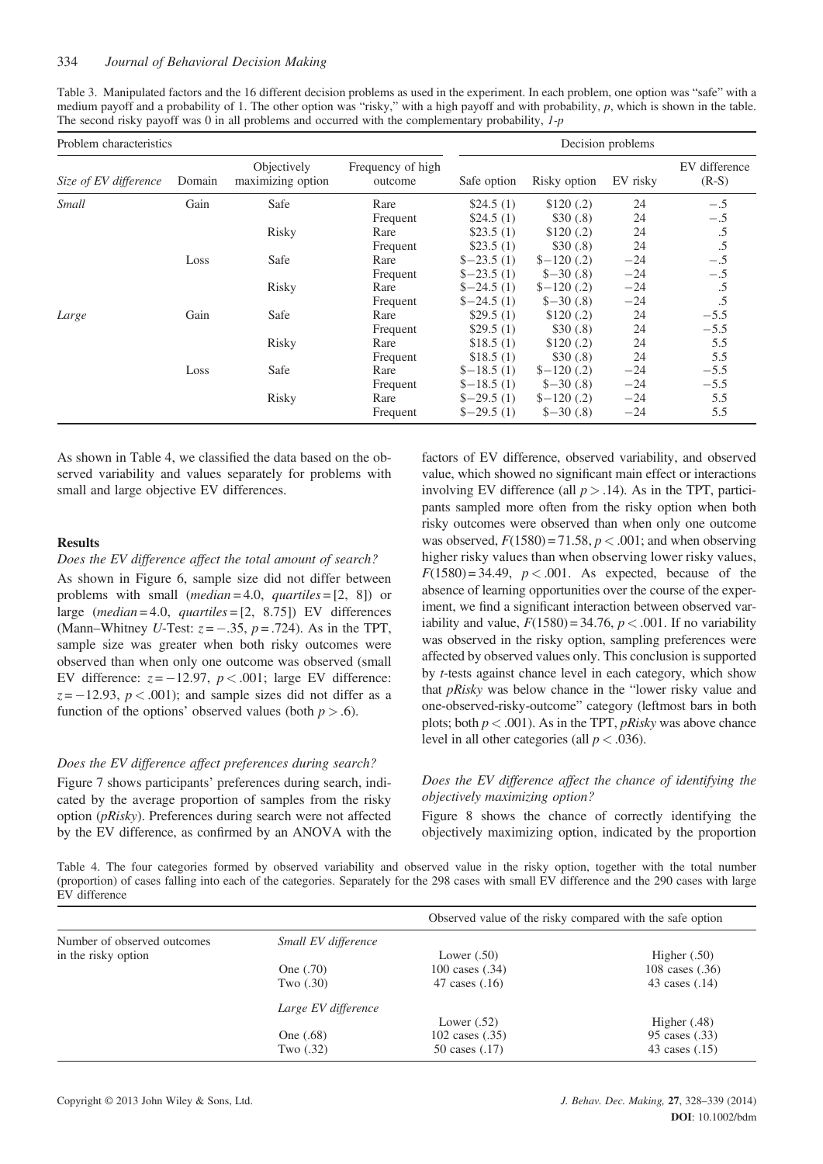| Table 3. Manipulated factors and the 16 different decision problems as used in the experiment. In each problem, one option was "safe" with a    |
|-------------------------------------------------------------------------------------------------------------------------------------------------|
| medium payoff and a probability of 1. The other option was "risky," with a high payoff and with probability, $p$ , which is shown in the table. |
| The second risky payoff was 0 in all problems and occurred with the complementary probability, $1-p$                                            |

| Problem characteristics | Decision problems |                                  |                              |             |              |          |                          |
|-------------------------|-------------------|----------------------------------|------------------------------|-------------|--------------|----------|--------------------------|
| Size of EV difference   | Domain            | Objectively<br>maximizing option | Frequency of high<br>outcome | Safe option | Risky option | EV risky | EV difference<br>$(R-S)$ |
| Small                   | Gain              | Safe                             | Rare                         | \$24.5(1)   | \$120(.2)    | 24       | $-.5$                    |
|                         |                   |                                  | Frequent                     | \$24.5(1)   | \$30(.8)     | 24       | $-.5$                    |
|                         |                   | Risky                            | Rare                         | \$23.5(1)   | \$120(.2)    | 24       | .5                       |
|                         |                   |                                  | Frequent                     | \$23.5(1)   | \$30(.8)     | 24       | .5                       |
|                         | Loss              | Safe                             | Rare                         | $$-23.5(1)$ | $$ -120(.2)$ | $-24$    | $-.5$                    |
|                         |                   |                                  | Frequent                     | $$-23.5(1)$ | $$-30(.8)$   | $-24$    | $-.5$                    |
|                         |                   | Risky                            | Rare                         | $$-24.5(1)$ | $$ -120(.2)$ | $-24$    | .5                       |
|                         |                   |                                  | Frequent                     | $$-24.5(1)$ | $$-30(.8)$   | $-24$    | .5                       |
| Large                   | Gain              | Safe                             | Rare                         | \$29.5(1)   | \$120(.2)    | 24       | $-5.5$                   |
|                         |                   |                                  | Frequent                     | \$29.5(1)   | \$30(.8)     | 24       | $-5.5$                   |
|                         |                   | Risky                            | Rare                         | \$18.5(1)   | \$120(.2)    | 24       | 5.5                      |
|                         |                   |                                  | Frequent                     | \$18.5(1)   | \$30(.8)     | 24       | 5.5                      |
|                         | Loss              | Safe                             | Rare                         | $$-18.5(1)$ | $$ -120(.2)$ | $-24$    | $-5.5$                   |
|                         |                   |                                  | Frequent                     | $$-18.5(1)$ | $$-30(.8)$   | $-24$    | $-5.5$                   |
|                         |                   | Risky                            | Rare                         | $$-29.5(1)$ | $$ -120(.2)$ | $-24$    | 5.5                      |
|                         |                   |                                  | Frequent                     | $$-29.5(1)$ | $$-30(.8)$   | $-24$    | 5.5                      |

As shown in Table 4, we classified the data based on the observed variability and values separately for problems with small and large objective EV differences.

#### **Results**

# Does the EV difference affect the total amount of search?

As shown in Figure 6, sample size did not differ between problems with small (*median* = 4.0, *quartiles* =  $[2, 8]$ ) or large  $(median = 4.0, quartiles = [2, 8.75])$  EV differences (Mann–Whitney U-Test:  $z = -.35$ ,  $p = .724$ ). As in the TPT, sample size was greater when both risky outcomes were observed than when only one outcome was observed (small EV difference:  $z = -12.97$ ,  $p < .001$ ; large EV difference:  $z = -12.93$ ,  $p < .001$ ); and sample sizes did not differ as a function of the options' observed values (both  $p > .6$ ).

# Does the EV difference affect preferences during search?

Figure 7 shows participants' preferences during search, indicated by the average proportion of samples from the risky option (pRisky). Preferences during search were not affected by the EV difference, as confirmed by an ANOVA with the factors of EV difference, observed variability, and observed value, which showed no significant main effect or interactions involving EV difference (all  $p > .14$ ). As in the TPT, participants sampled more often from the risky option when both risky outcomes were observed than when only one outcome was observed,  $F(1580) = 71.58$ ,  $p < .001$ ; and when observing higher risky values than when observing lower risky values,  $F(1580) = 34.49$ ,  $p < .001$ . As expected, because of the absence of learning opportunities over the course of the experiment, we find a significant interaction between observed variability and value,  $F(1580) = 34.76$ ,  $p < .001$ . If no variability was observed in the risky option, sampling preferences were affected by observed values only. This conclusion is supported by t-tests against chance level in each category, which show that pRisky was below chance in the "lower risky value and one-observed-risky-outcome" category (leftmost bars in both plots; both  $p < .001$ ). As in the TPT, *pRisky* was above chance level in all other categories (all  $p < .036$ ).

# Does the EV difference affect the chance of identifying the objectively maximizing option?

Figure 8 shows the chance of correctly identifying the objectively maximizing option, indicated by the proportion

Table 4. The four categories formed by observed variability and observed value in the risky option, together with the total number (proportion) of cases falling into each of the categories. Separately for the 298 cases with small EV difference and the 290 cases with large EV difference

|                                                    |                     | Observed value of the risky compared with the safe option |                 |  |
|----------------------------------------------------|---------------------|-----------------------------------------------------------|-----------------|--|
| Number of observed outcomes<br>in the risky option | Small EV difference |                                                           | Higher $(.50)$  |  |
|                                                    | One (.70)           | Lower $(.50)$<br>100 cases (.34)                          | 108 cases (.36) |  |
|                                                    | Two $(.30)$         | 47 cases $(.16)$                                          | 43 cases (.14)  |  |
|                                                    | Large EV difference |                                                           |                 |  |
|                                                    |                     | Lower $(.52)$                                             | Higher $(.48)$  |  |
|                                                    | One (.68)           | 102 cases (.35)                                           | 95 cases (.33)  |  |
|                                                    | Two $(.32)$         | 50 cases (.17)                                            | 43 cases (.15)  |  |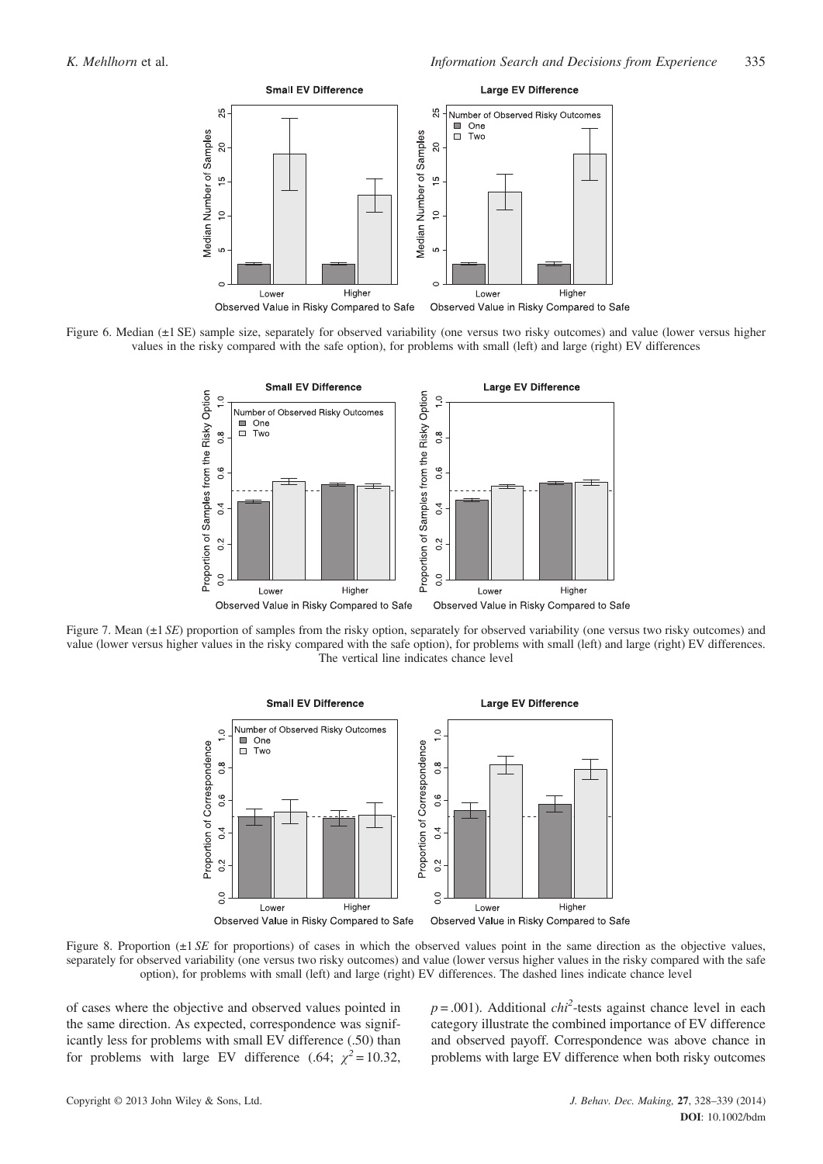

Figure 6. Median ( $\pm 1$  SE) sample size, separately for observed variability (one versus two risky outcomes) and value (lower versus higher values in the risky compared with the safe option), for problems with small (left) and large (right) EV differences



Figure 7. Mean (±1 SE) proportion of samples from the risky option, separately for observed variability (one versus two risky outcomes) and value (lower versus higher values in the risky compared with the safe option), for problems with small (left) and large (right) EV differences. The vertical line indicates chance level



Figure 8. Proportion  $(\pm 1 SE)$  for proportions) of cases in which the observed values point in the same direction as the objective values, separately for observed variability (one versus two risky outcomes) and value (lower versus higher values in the risky compared with the safe option), for problems with small (left) and large (right) EV differences. The dashed lines indicate chance level

of cases where the objective and observed values pointed in the same direction. As expected, correspondence was significantly less for problems with small EV difference (.50) than for problems with large EV difference (.64;  $\gamma^2 = 10.32$ ,

 $p = .001$ ). Additional *chi*<sup>2</sup>-tests against chance level in each category illustrate the combined importance of EV difference and observed payoff. Correspondence was above chance in problems with large EV difference when both risky outcomes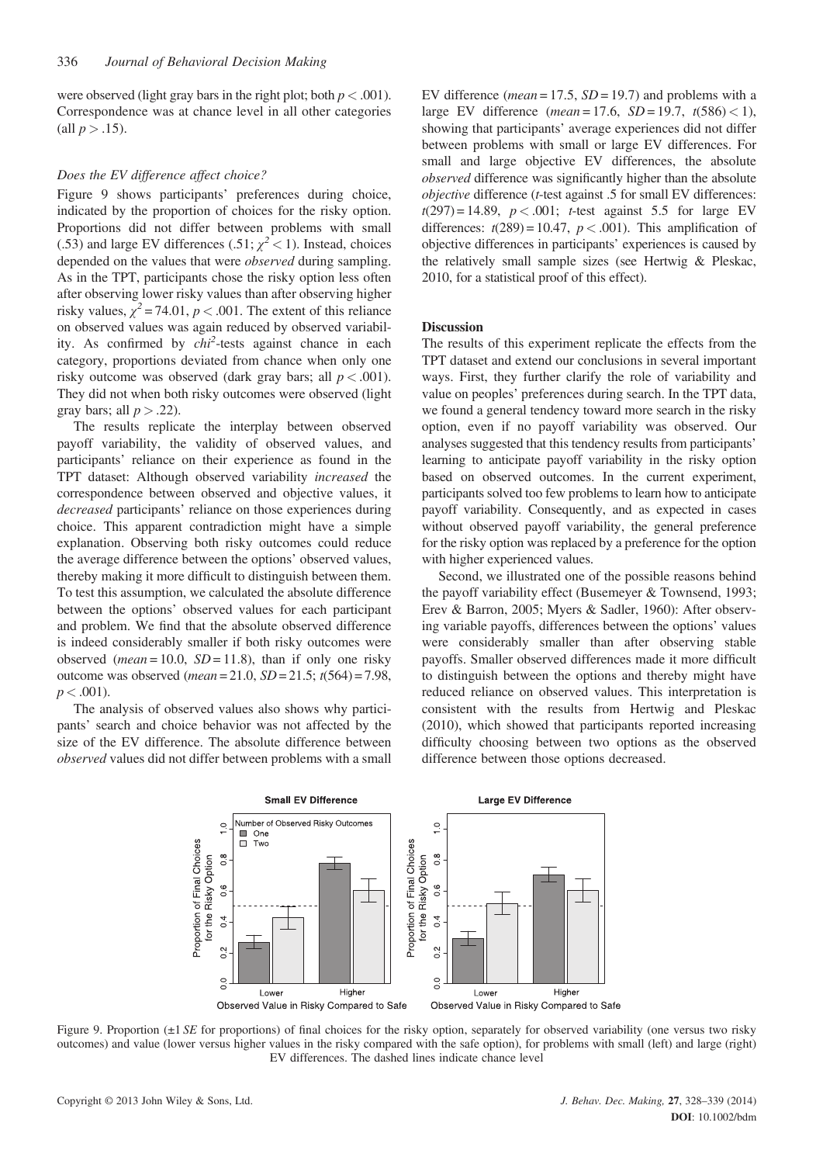were observed (light gray bars in the right plot; both  $p < .001$ ). Correspondence was at chance level in all other categories (all  $p > .15$ ).

#### Does the EV difference affect choice?

Figure 9 shows participants' preferences during choice, indicated by the proportion of choices for the risky option. Proportions did not differ between problems with small (.53) and large EV differences (.51;  $\chi^2$  < 1). Instead, choices depended on the values that were observed during sampling. As in the TPT, participants chose the risky option less often after observing lower risky values than after observing higher risky values,  $\chi^2$  = 74.01, p < .001. The extent of this reliance on observed values was again reduced by observed variability. As confirmed by  $chi^2$ -tests against chance in each category, proportions deviated from chance when only one risky outcome was observed (dark gray bars; all  $p < .001$ ). They did not when both risky outcomes were observed (light gray bars; all  $p > .22$ ).

The results replicate the interplay between observed payoff variability, the validity of observed values, and participants' reliance on their experience as found in the TPT dataset: Although observed variability increased the correspondence between observed and objective values, it decreased participants' reliance on those experiences during choice. This apparent contradiction might have a simple explanation. Observing both risky outcomes could reduce the average difference between the options' observed values, thereby making it more difficult to distinguish between them. To test this assumption, we calculated the absolute difference between the options' observed values for each participant and problem. We find that the absolute observed difference is indeed considerably smaller if both risky outcomes were observed (*mean* = 10.0,  $SD = 11.8$ ), than if only one risky outcome was observed (*mean* = 21.0,  $SD = 21.5$ ;  $t(564) = 7.98$ .  $p < .001$ ).

The analysis of observed values also shows why participants' search and choice behavior was not affected by the size of the EV difference. The absolute difference between observed values did not differ between problems with a small EV difference (*mean* = 17.5,  $SD = 19.7$ ) and problems with a large EV difference (*mean* = 17.6,  $SD = 19.7$ ,  $t(586) < 1$ ), showing that participants' average experiences did not differ between problems with small or large EV differences. For small and large objective EV differences, the absolute observed difference was significantly higher than the absolute objective difference (t-test against .5 for small EV differences:  $t(297) = 14.89$ ,  $p < .001$ ; *t*-test against 5.5 for large EV differences:  $t(289) = 10.47$ ,  $p < .001$ ). This amplification of objective differences in participants' experiences is caused by the relatively small sample sizes (see Hertwig & Pleskac, 2010, for a statistical proof of this effect).

# Discussion

The results of this experiment replicate the effects from the TPT dataset and extend our conclusions in several important ways. First, they further clarify the role of variability and value on peoples' preferences during search. In the TPT data, we found a general tendency toward more search in the risky option, even if no payoff variability was observed. Our analyses suggested that this tendency results from participants' learning to anticipate payoff variability in the risky option based on observed outcomes. In the current experiment, participants solved too few problems to learn how to anticipate payoff variability. Consequently, and as expected in cases without observed payoff variability, the general preference for the risky option was replaced by a preference for the option with higher experienced values.

Second, we illustrated one of the possible reasons behind the payoff variability effect (Busemeyer & Townsend, 1993; Erev & Barron, 2005; Myers & Sadler, 1960): After observing variable payoffs, differences between the options' values were considerably smaller than after observing stable payoffs. Smaller observed differences made it more difficult to distinguish between the options and thereby might have reduced reliance on observed values. This interpretation is consistent with the results from Hertwig and Pleskac (2010), which showed that participants reported increasing difficulty choosing between two options as the observed difference between those options decreased.



Figure 9. Proportion  $(\pm 1)$  SE for proportions) of final choices for the risky option, separately for observed variability (one versus two risky outcomes) and value (lower versus higher values in the risky compared with the safe option), for problems with small (left) and large (right) EV differences. The dashed lines indicate chance level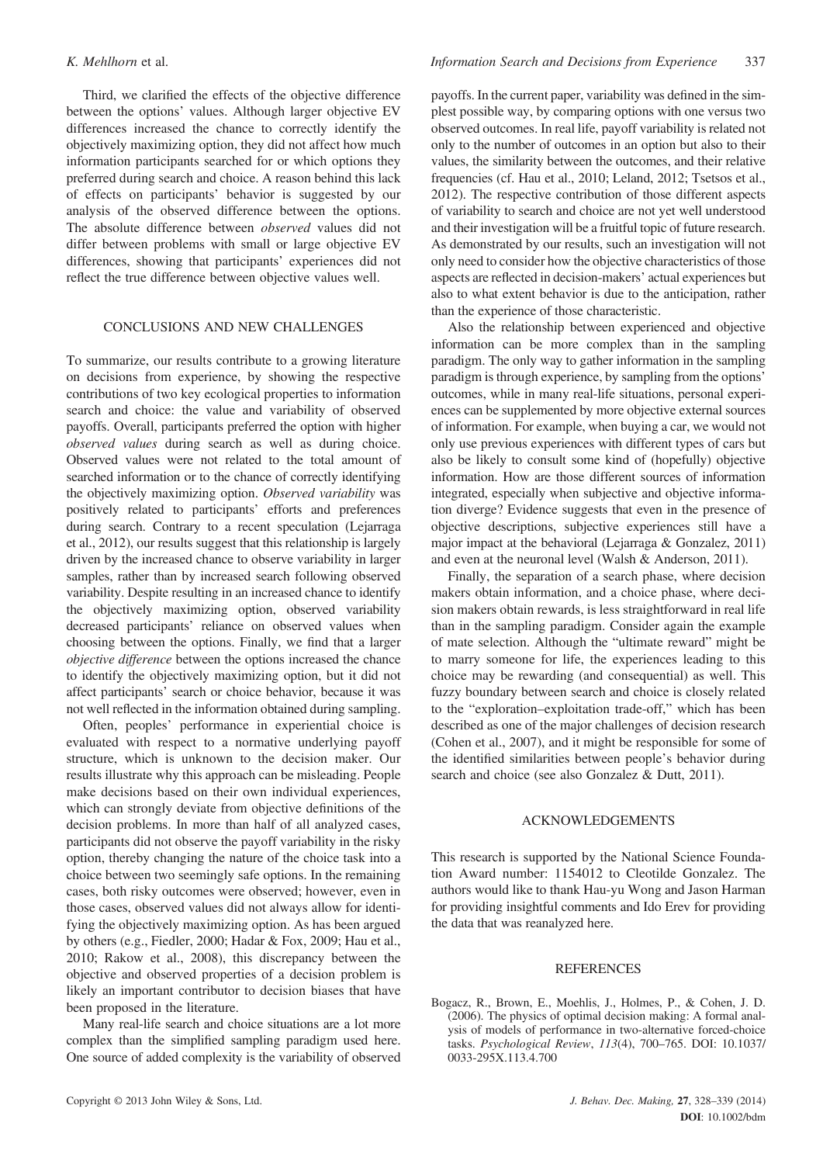Third, we clarified the effects of the objective difference between the options' values. Although larger objective EV differences increased the chance to correctly identify the objectively maximizing option, they did not affect how much information participants searched for or which options they preferred during search and choice. A reason behind this lack of effects on participants' behavior is suggested by our analysis of the observed difference between the options. The absolute difference between observed values did not differ between problems with small or large objective EV differences, showing that participants' experiences did not reflect the true difference between objective values well.

# CONCLUSIONS AND NEW CHALLENGES

To summarize, our results contribute to a growing literature on decisions from experience, by showing the respective contributions of two key ecological properties to information search and choice: the value and variability of observed payoffs. Overall, participants preferred the option with higher observed values during search as well as during choice. Observed values were not related to the total amount of searched information or to the chance of correctly identifying the objectively maximizing option. Observed variability was positively related to participants' efforts and preferences during search. Contrary to a recent speculation (Lejarraga et al., 2012), our results suggest that this relationship is largely driven by the increased chance to observe variability in larger samples, rather than by increased search following observed variability. Despite resulting in an increased chance to identify the objectively maximizing option, observed variability decreased participants' reliance on observed values when choosing between the options. Finally, we find that a larger objective difference between the options increased the chance to identify the objectively maximizing option, but it did not affect participants' search or choice behavior, because it was not well reflected in the information obtained during sampling.

Often, peoples' performance in experiential choice is evaluated with respect to a normative underlying payoff structure, which is unknown to the decision maker. Our results illustrate why this approach can be misleading. People make decisions based on their own individual experiences, which can strongly deviate from objective definitions of the decision problems. In more than half of all analyzed cases, participants did not observe the payoff variability in the risky option, thereby changing the nature of the choice task into a choice between two seemingly safe options. In the remaining cases, both risky outcomes were observed; however, even in those cases, observed values did not always allow for identifying the objectively maximizing option. As has been argued by others (e.g., Fiedler, 2000; Hadar & Fox, 2009; Hau et al., 2010; Rakow et al., 2008), this discrepancy between the objective and observed properties of a decision problem is likely an important contributor to decision biases that have been proposed in the literature.

Many real-life search and choice situations are a lot more complex than the simplified sampling paradigm used here. One source of added complexity is the variability of observed payoffs. In the current paper, variability was defined in the simplest possible way, by comparing options with one versus two observed outcomes. In real life, payoff variability is related not only to the number of outcomes in an option but also to their values, the similarity between the outcomes, and their relative frequencies (cf. Hau et al., 2010; Leland, 2012; Tsetsos et al., 2012). The respective contribution of those different aspects of variability to search and choice are not yet well understood and their investigation will be a fruitful topic of future research. As demonstrated by our results, such an investigation will not only need to consider how the objective characteristics of those aspects are reflected in decision-makers' actual experiences but also to what extent behavior is due to the anticipation, rather than the experience of those characteristic.

Also the relationship between experienced and objective information can be more complex than in the sampling paradigm. The only way to gather information in the sampling paradigm is through experience, by sampling from the options' outcomes, while in many real-life situations, personal experiences can be supplemented by more objective external sources of information. For example, when buying a car, we would not only use previous experiences with different types of cars but also be likely to consult some kind of (hopefully) objective information. How are those different sources of information integrated, especially when subjective and objective information diverge? Evidence suggests that even in the presence of objective descriptions, subjective experiences still have a major impact at the behavioral (Lejarraga & Gonzalez, 2011) and even at the neuronal level (Walsh & Anderson, 2011).

Finally, the separation of a search phase, where decision makers obtain information, and a choice phase, where decision makers obtain rewards, is less straightforward in real life than in the sampling paradigm. Consider again the example of mate selection. Although the "ultimate reward" might be to marry someone for life, the experiences leading to this choice may be rewarding (and consequential) as well. This fuzzy boundary between search and choice is closely related to the "exploration–exploitation trade-off," which has been described as one of the major challenges of decision research (Cohen et al., 2007), and it might be responsible for some of the identified similarities between people's behavior during search and choice (see also Gonzalez & Dutt, 2011).

#### ACKNOWLEDGEMENTS

This research is supported by the National Science Foundation Award number: 1154012 to Cleotilde Gonzalez. The authors would like to thank Hau-yu Wong and Jason Harman for providing insightful comments and Ido Erev for providing the data that was reanalyzed here.

#### REFERENCES

Bogacz, R., Brown, E., Moehlis, J., Holmes, P., & Cohen, J. D. (2006). The physics of optimal decision making: A formal analysis of models of performance in two-alternative forced-choice tasks. Psychological Review, 113(4), 700–765. DOI: 10.1037/ 0033-295X.113.4.700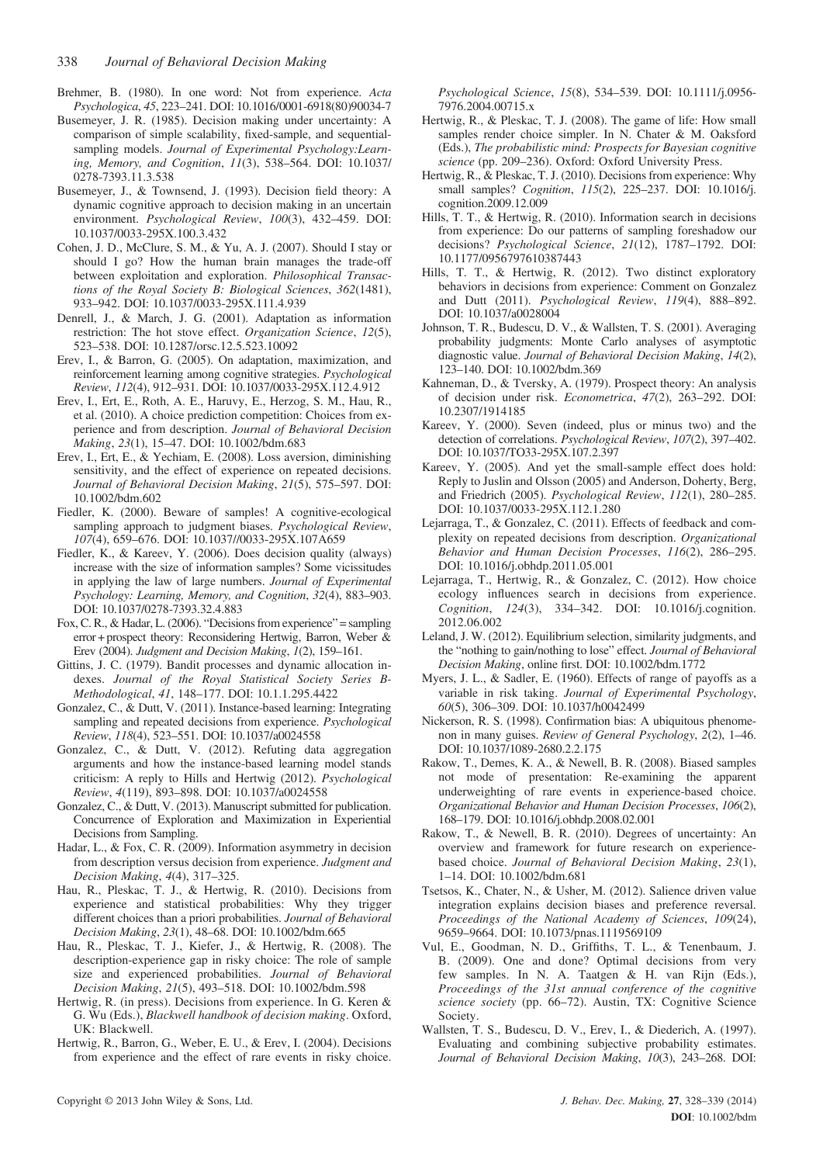- Brehmer, B. (1980). In one word: Not from experience. Acta Psychologica, 45, 223–241. DOI: 10.1016/0001-6918(80)90034-7
- Busemeyer, J. R. (1985). Decision making under uncertainty: A comparison of simple scalability, fixed-sample, and sequentialsampling models. Journal of Experimental Psychology:Learning, Memory, and Cognition, 11(3), 538–564. DOI: 10.1037/ 0278-7393.11.3.538
- Busemeyer, J., & Townsend, J. (1993). Decision field theory: A dynamic cognitive approach to decision making in an uncertain environment. Psychological Review, 100(3), 432–459. DOI: 10.1037/0033-295X.100.3.432
- Cohen, J. D., McClure, S. M., & Yu, A. J. (2007). Should I stay or should I go? How the human brain manages the trade-off between exploitation and exploration. Philosophical Transactions of the Royal Society B: Biological Sciences, 362(1481), 933–942. DOI: 10.1037/0033-295X.111.4.939
- Denrell, J., & March, J. G. (2001). Adaptation as information restriction: The hot stove effect. Organization Science, 12(5), 523–538. DOI: 10.1287/orsc.12.5.523.10092
- Erev, I., & Barron, G. (2005). On adaptation, maximization, and reinforcement learning among cognitive strategies. Psychological Review, 112(4), 912–931. DOI: 10.1037/0033-295X.112.4.912
- Erev, I., Ert, E., Roth, A. E., Haruvy, E., Herzog, S. M., Hau, R., et al. (2010). A choice prediction competition: Choices from experience and from description. Journal of Behavioral Decision Making, 23(1), 15–47. DOI: 10.1002/bdm.683
- Erev, I., Ert, E., & Yechiam, E. (2008). Loss aversion, diminishing sensitivity, and the effect of experience on repeated decisions. Journal of Behavioral Decision Making, 21(5), 575–597. DOI: 10.1002/bdm.602
- Fiedler, K. (2000). Beware of samples! A cognitive-ecological sampling approach to judgment biases. Psychological Review, 107(4), 659–676. DOI: 10.1037//0033-295X.107A659
- Fiedler, K., & Kareev, Y. (2006). Does decision quality (always) increase with the size of information samples? Some vicissitudes in applying the law of large numbers. Journal of Experimental Psychology: Learning, Memory, and Cognition, 32(4), 883–903. DOI: 10.1037/0278-7393.32.4.883
- Fox, C. R., & Hadar, L. (2006). "Decisions from experience"= sampling error + prospect theory: Reconsidering Hertwig, Barron, Weber & Erev (2004). Judgment and Decision Making, 1(2), 159–161.
- Gittins, J. C. (1979). Bandit processes and dynamic allocation indexes. Journal of the Royal Statistical Society Series B-Methodological, 41, 148–177. DOI: 10.1.1.295.4422
- Gonzalez, C., & Dutt, V. (2011). Instance-based learning: Integrating sampling and repeated decisions from experience. *Psychological* Review, 118(4), 523–551. DOI: 10.1037/a0024558
- Gonzalez, C., & Dutt, V. (2012). Refuting data aggregation arguments and how the instance-based learning model stands criticism: A reply to Hills and Hertwig (2012). Psychological Review, 4(119), 893–898. DOI: 10.1037/a0024558
- Gonzalez, C., & Dutt, V. (2013). Manuscript submitted for publication. Concurrence of Exploration and Maximization in Experiential Decisions from Sampling.
- Hadar, L., & Fox, C. R. (2009). Information asymmetry in decision from description versus decision from experience. Judgment and Decision Making, 4(4), 317–325.
- Hau, R., Pleskac, T. J., & Hertwig, R. (2010). Decisions from experience and statistical probabilities: Why they trigger different choices than a priori probabilities. Journal of Behavioral Decision Making, 23(1), 48–68. DOI: 10.1002/bdm.665
- Hau, R., Pleskac, T. J., Kiefer, J., & Hertwig, R. (2008). The description-experience gap in risky choice: The role of sample size and experienced probabilities. Journal of Behavioral Decision Making, 21(5), 493–518. DOI: 10.1002/bdm.598
- Hertwig, R. (in press). Decisions from experience. In G. Keren & G. Wu (Eds.), Blackwell handbook of decision making. Oxford, UK: Blackwell.
- Hertwig, R., Barron, G., Weber, E. U., & Erev, I. (2004). Decisions from experience and the effect of rare events in risky choice.

Psychological Science, 15(8), 534–539. DOI: 10.1111/j.0956- 7976.2004.00715.x

- Hertwig, R., & Pleskac, T. J. (2008). The game of life: How small samples render choice simpler. In N. Chater & M. Oaksford (Eds.), The probabilistic mind: Prospects for Bayesian cognitive science (pp. 209–236). Oxford: Oxford University Press.
- Hertwig, R., & Pleskac, T. J. (2010). Decisions from experience: Why small samples? Cognition, 115(2), 225–237. DOI: 10.1016/j. cognition.2009.12.009
- Hills, T. T., & Hertwig, R. (2010). Information search in decisions from experience: Do our patterns of sampling foreshadow our decisions? Psychological Science, 21(12), 1787–1792. DOI: 10.1177/0956797610387443
- Hills, T. T., & Hertwig, R. (2012). Two distinct exploratory behaviors in decisions from experience: Comment on Gonzalez and Dutt (2011). Psychological Review, 119(4), 888–892. DOI: 10.1037/a0028004
- Johnson, T. R., Budescu, D. V., & Wallsten, T. S. (2001). Averaging probability judgments: Monte Carlo analyses of asymptotic diagnostic value. Journal of Behavioral Decision Making, 14(2), 123–140. DOI: 10.1002/bdm.369
- Kahneman, D., & Tversky, A. (1979). Prospect theory: An analysis of decision under risk. Econometrica, 47(2), 263–292. DOI: 10.2307/1914185
- Kareev, Y. (2000). Seven (indeed, plus or minus two) and the detection of correlations. Psychological Review, 107(2), 397–402. DOI: 10.1037/TO33-295X.107.2.397
- Kareev, Y. (2005). And yet the small-sample effect does hold: Reply to Juslin and Olsson (2005) and Anderson, Doherty, Berg, and Friedrich (2005). Psychological Review, 112(1), 280–285. DOI: 10.1037/0033-295X.112.1.280
- Lejarraga, T., & Gonzalez, C. (2011). Effects of feedback and complexity on repeated decisions from description. Organizational Behavior and Human Decision Processes, 116(2), 286–295. DOI: 10.1016/j.obhdp.2011.05.001
- Lejarraga, T., Hertwig, R., & Gonzalez, C. (2012). How choice ecology influences search in decisions from experience. Cognition, 124(3), 334–342. DOI: 10.1016/j.cognition. 2012.06.002
- Leland, J. W. (2012). Equilibrium selection, similarity judgments, and the "nothing to gain/nothing to lose" effect. Journal of Behavioral Decision Making, online first. DOI: 10.1002/bdm.1772
- Myers, J. L., & Sadler, E. (1960). Effects of range of payoffs as a variable in risk taking. Journal of Experimental Psychology, 60(5), 306–309. DOI: 10.1037/h0042499
- Nickerson, R. S. (1998). Confirmation bias: A ubiquitous phenomenon in many guises. Review of General Psychology, 2(2), 1–46. DOI: 10.1037/1089-2680.2.2.175
- Rakow, T., Demes, K. A., & Newell, B. R. (2008). Biased samples not mode of presentation: Re-examining the apparent underweighting of rare events in experience-based choice. Organizational Behavior and Human Decision Processes, 106(2), 168–179. DOI: 10.1016/j.obhdp.2008.02.001
- Rakow, T., & Newell, B. R. (2010). Degrees of uncertainty: An overview and framework for future research on experiencebased choice. Journal of Behavioral Decision Making, 23(1), 1–14. DOI: 10.1002/bdm.681
- Tsetsos, K., Chater, N., & Usher, M. (2012). Salience driven value integration explains decision biases and preference reversal. Proceedings of the National Academy of Sciences, 109(24), 9659–9664. DOI: 10.1073/pnas.1119569109
- Vul, E., Goodman, N. D., Griffiths, T. L., & Tenenbaum, J. B. (2009). One and done? Optimal decisions from very few samples. In N. A. Taatgen & H. van Rijn (Eds.), Proceedings of the 31st annual conference of the cognitive science society (pp. 66–72). Austin, TX: Cognitive Science Society.
- Wallsten, T. S., Budescu, D. V., Erev, I., & Diederich, A. (1997). Evaluating and combining subjective probability estimates. Journal of Behavioral Decision Making, 10(3), 243–268. DOI: